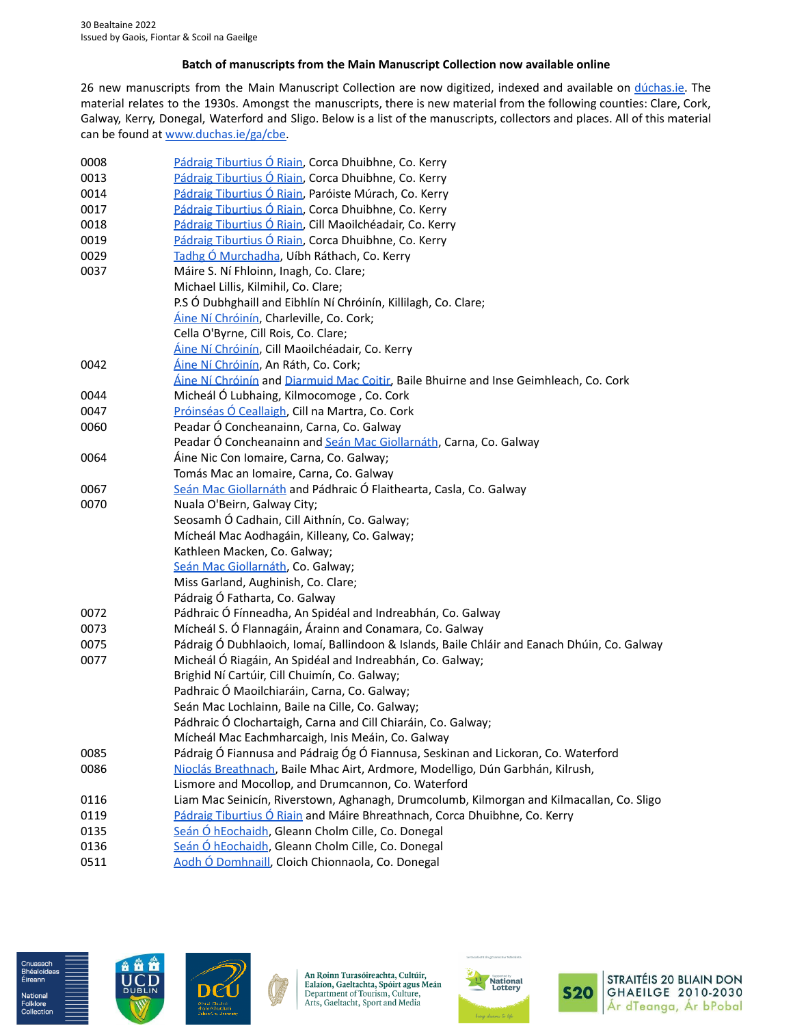## **Batch of manuscripts from the Main Manuscript Collection now available online**

26 new manuscripts from the Main Manuscript Collection are now digitized, indexed and available on [dúchas.ie.](https://www.duchas.ie/) The material relates to the 1930s. Amongst the manuscripts, there is new material from the following counties: Clare, Cork, Galway, Kerry, Donegal, Waterford and Sligo. Below is a list of the manuscripts, collectors and places. All of this material can be found at [www.duchas.ie/ga/cbe.](https://www.duchas.ie/ga/cbe)

| 0008 | Pádraig Tiburtius Ó Riain, Corca Dhuibhne, Co. Kerry                                         |
|------|----------------------------------------------------------------------------------------------|
| 0013 | Pádraig Tiburtius Ó Riain, Corca Dhuibhne, Co. Kerry                                         |
| 0014 | Pádraig Tiburtius Ó Riain, Paróiste Múrach, Co. Kerry                                        |
| 0017 | Pádraig Tiburtius Ó Riain, Corca Dhuibhne, Co. Kerry                                         |
| 0018 | Pádraig Tiburtius Ó Riain, Cill Maoilchéadair, Co. Kerry                                     |
| 0019 | Pádraig Tiburtius Ó Riain, Corca Dhuibhne, Co. Kerry                                         |
| 0029 | Tadhg Ó Murchadha, Uíbh Ráthach, Co. Kerry                                                   |
| 0037 | Máire S. Ní Fhloinn, Inagh, Co. Clare;                                                       |
|      | Michael Lillis, Kilmihil, Co. Clare;                                                         |
|      | P.S Ó Dubhghaill and Eibhlín Ní Chróinín, Killilagh, Co. Clare;                              |
|      | Áine Ní Chróinín, Charleville, Co. Cork;                                                     |
|      | Cella O'Byrne, Cill Rois, Co. Clare;                                                         |
|      | Áine Ní Chróinín, Cill Maoilchéadair, Co. Kerry                                              |
| 0042 | <u>Áine Ní Chróinín</u> , An Ráth, Co. Cork;                                                 |
|      | Áine Ní Chróinín and Diarmuid Mac Coitir, Baile Bhuirne and Inse Geimhleach, Co. Cork        |
| 0044 | Micheál Ó Lubhaing, Kilmocomoge, Co. Cork                                                    |
| 0047 | Próinséas Ó Ceallaigh, Cill na Martra, Co. Cork                                              |
| 0060 | Peadar Ó Concheanainn, Carna, Co. Galway                                                     |
|      | Peadar Ó Concheanainn and Seán Mac Giollarnáth, Carna, Co. Galway                            |
| 0064 | Áine Nic Con Iomaire, Carna, Co. Galway;                                                     |
|      | Tomás Mac an Iomaire, Carna, Co. Galway                                                      |
| 0067 | Seán Mac Giollarnáth and Pádhraic Ó Flaithearta, Casla, Co. Galway                           |
| 0070 | Nuala O'Beirn, Galway City;                                                                  |
|      | Seosamh Ó Cadhain, Cill Aithnín, Co. Galway;                                                 |
|      | Mícheál Mac Aodhagáin, Killeany, Co. Galway;                                                 |
|      | Kathleen Macken, Co. Galway;                                                                 |
|      | Seán Mac Giollarnáth, Co. Galway;                                                            |
|      | Miss Garland, Aughinish, Co. Clare;                                                          |
|      | Pádraig Ó Fatharta, Co. Galway                                                               |
| 0072 | Pádhraic Ó Fínneadha, An Spidéal and Indreabhán, Co. Galway                                  |
| 0073 | Mícheál S. Ó Flannagáin, Árainn and Conamara, Co. Galway                                     |
| 0075 | Pádraig Ó Dubhlaoich, Iomaí, Ballindoon & Islands, Baile Chláir and Eanach Dhúin, Co. Galway |
| 0077 | Micheál Ó Riagáin, An Spidéal and Indreabhán, Co. Galway;                                    |
|      | Brighid Ní Cartúir, Cill Chuimín, Co. Galway;                                                |
|      | Padhraic Ó Maoilchiaráin, Carna, Co. Galway;                                                 |
|      | Seán Mac Lochlainn, Baile na Cille, Co. Galway;                                              |
|      | Pádhraic Ó Clochartaigh, Carna and Cill Chiaráin, Co. Galway;                                |
|      | Mícheál Mac Eachmharcaigh, Inis Meáin, Co. Galway                                            |
| 0085 | Pádraig Ó Fiannusa and Pádraig Óg Ó Fiannusa, Seskinan and Lickoran, Co. Waterford           |
| 0086 | Nioclás Breathnach, Baile Mhac Airt, Ardmore, Modelligo, Dún Garbhán, Kilrush,               |
|      | Lismore and Mocollop, and Drumcannon, Co. Waterford                                          |
| 0116 | Liam Mac Seinicín, Riverstown, Aghanagh, Drumcolumb, Kilmorgan and Kilmacallan, Co. Sligo    |
| 0119 | Pádraig Tiburtius Ó Riain and Máire Bhreathnach, Corca Dhuibhne, Co. Kerry                   |
| 0135 | Seán Ó hEochaidh, Gleann Cholm Cille, Co. Donegal                                            |
| 0136 | Seán Ó hEochaidh, Gleann Cholm Cille, Co. Donegal                                            |
| 0511 | Aodh Ó Domhnaill, Cloich Chionnaola, Co. Donegal                                             |



Éireanr

**Folklore**